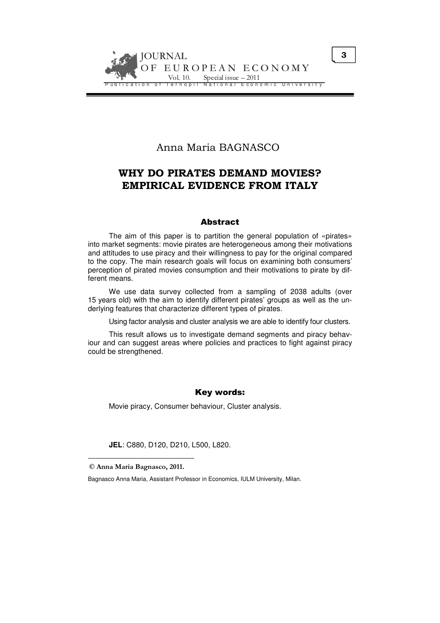

# Anna Maria BAGNASCO

# WHY DO PIRATES DEMAND MOVIES? EMPIRICAL EVIDENCE FROM ITALY

#### Abstract

The aim of this paper is to partition the general population of «pirates» into market segments: movie pirates are heterogeneous among their motivations and attitudes to use piracy and their willingness to pay for the original compared to the copy. The main research goals will focus on examining both consumers' perception of pirated movies consumption and their motivations to pirate by different means.

We use data survey collected from a sampling of 2038 adults (over 15 years old) with the aim to identify different pirates' groups as well as the underlying features that characterize different types of pirates.

Using factor analysis and cluster analysis we are able to identify four clusters.

This result allows us to investigate demand segments and piracy behaviour and can suggest areas where policies and practices to fight against piracy could be strengthened.

# Key words:

Movie piracy, Consumer behaviour, Cluster analysis.

**JEL**: C880, D120, D210, L500, L820.

<sup>©</sup> Anna Maria Bagnasco, 2011.

Bagnasco Anna Maria, Assistant Professor in Economics, IULM University, Milan.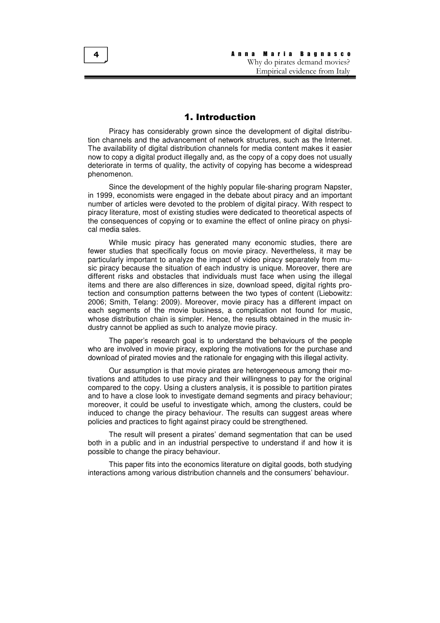## 1. Introduction

Piracy has considerably grown since the development of digital distribution channels and the advancement of network structures, such as the Internet. The availability of digital distribution channels for media content makes it easier now to copy a digital product illegally and, as the copy of a copy does not usually deteriorate in terms of quality, the activity of copying has become a widespread phenomenon.

Since the development of the highly popular file-sharing program Napster, in 1999, economists were engaged in the debate about piracy and an important number of articles were devoted to the problem of digital piracy. With respect to piracy literature, most of existing studies were dedicated to theoretical aspects of the consequences of copying or to examine the effect of online piracy on physical media sales.

While music piracy has generated many economic studies, there are fewer studies that specifically focus on movie piracy. Nevertheless, it may be particularly important to analyze the impact of video piracy separately from music piracy because the situation of each industry is unique. Moreover, there are different risks and obstacles that individuals must face when using the illegal items and there are also differences in size, download speed, digital rights protection and consumption patterns between the two types of content (Liebowitz: 2006; Smith, Telang: 2009). Moreover, movie piracy has a different impact on each segments of the movie business, a complication not found for music, whose distribution chain is simpler. Hence, the results obtained in the music industry cannot be applied as such to analyze movie piracy.

The paper's research goal is to understand the behaviours of the people who are involved in movie piracy, exploring the motivations for the purchase and download of pirated movies and the rationale for engaging with this illegal activity.

Our assumption is that movie pirates are heterogeneous among their motivations and attitudes to use piracy and their willingness to pay for the original compared to the copy. Using a clusters analysis, it is possible to partition pirates and to have a close look to investigate demand segments and piracy behaviour; moreover, it could be useful to investigate which, among the clusters, could be induced to change the piracy behaviour. The results can suggest areas where policies and practices to fight against piracy could be strengthened.

The result will present a pirates' demand segmentation that can be used both in a public and in an industrial perspective to understand if and how it is possible to change the piracy behaviour.

This paper fits into the economics literature on digital goods, both studying interactions among various distribution channels and the consumers' behaviour.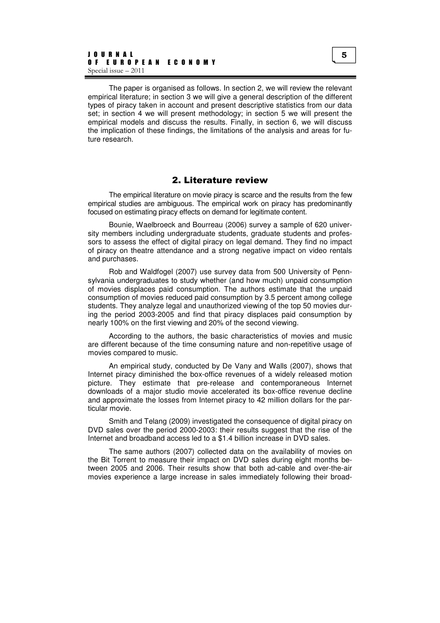The paper is organised as follows. In section 2, we will review the relevant empirical literature; in section 3 we will give a general description of the different types of piracy taken in account and present descriptive statistics from our data set; in section 4 we will present methodology; in section 5 we will present the empirical models and discuss the results. Finally, in section 6, we will discuss the implication of these findings, the limitations of the analysis and areas for future research.

#### 2. Literature review

The empirical literature on movie piracy is scarce and the results from the few empirical studies are ambiguous. The empirical work on piracy has predominantly focused on estimating piracy effects on demand for legitimate content.

Bounie, Waelbroeck and Bourreau (2006) survey a sample of 620 university members including undergraduate students, graduate students and professors to assess the effect of digital piracy on legal demand. They find no impact of piracy on theatre attendance and a strong negative impact on video rentals and purchases.

Rob and Waldfogel (2007) use survey data from 500 University of Pennsylvania undergraduates to study whether (and how much) unpaid consumption of movies displaces paid consumption. The authors estimate that the unpaid consumption of movies reduced paid consumption by 3.5 percent among college students. They analyze legal and unauthorized viewing of the top 50 movies during the period 2003-2005 and find that piracy displaces paid consumption by nearly 100% on the first viewing and 20% of the second viewing.

According to the authors, the basic characteristics of movies and music are different because of the time consuming nature and non-repetitive usage of movies compared to music.

An empirical study, conducted by De Vany and Walls (2007), shows that Internet piracy diminished the box-office revenues of a widely released motion picture. They estimate that pre-release and contemporaneous Internet downloads of a major studio movie accelerated its box-office revenue decline and approximate the losses from Internet piracy to 42 million dollars for the particular movie.

Smith and Telang (2009) investigated the consequence of digital piracy on DVD sales over the period 2000-2003: their results suggest that the rise of the Internet and broadband access led to a \$1.4 billion increase in DVD sales.

The same authors (2007) collected data on the availability of movies on the Bit Torrent to measure their impact on DVD sales during eight months between 2005 and 2006. Their results show that both ad-cable and over-the-air movies experience a large increase in sales immediately following their broad-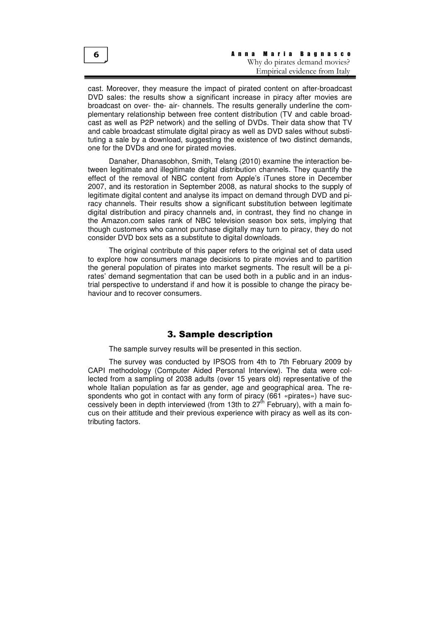cast. Moreover, they measure the impact of pirated content on after-broadcast DVD sales: the results show a significant increase in piracy after movies are broadcast on over- the- air- channels. The results generally underline the complementary relationship between free content distribution (TV and cable broadcast as well as P2P network) and the selling of DVDs. Their data show that TV and cable broadcast stimulate digital piracy as well as DVD sales without substituting a sale by a download, suggesting the existence of two distinct demands, one for the DVDs and one for pirated movies.

Danaher, Dhanasobhon, Smith, Telang (2010) examine the interaction between legitimate and illegitimate digital distribution channels. They quantify the effect of the removal of NBC content from Apple's iTunes store in December 2007, and its restoration in September 2008, as natural shocks to the supply of legitimate digital content and analyse its impact on demand through DVD and piracy channels. Their results show a significant substitution between legitimate digital distribution and piracy channels and, in contrast, they find no change in the Amazon.com sales rank of NBC television season box sets, implying that though customers who cannot purchase digitally may turn to piracy, they do not consider DVD box sets as a substitute to digital downloads.

The original contribute of this paper refers to the original set of data used to explore how consumers manage decisions to pirate movies and to partition the general population of pirates into market segments. The result will be a pirates' demand segmentation that can be used both in a public and in an industrial perspective to understand if and how it is possible to change the piracy behaviour and to recover consumers.

# 3. Sample description

The sample survey results will be presented in this section.

The survey was conducted by IPSOS from 4th to 7th February 2009 by CAPI methodology (Computer Aided Personal Interview). The data were collected from a sampling of 2038 adults (over 15 years old) representative of the whole Italian population as far as gender, age and geographical area. The respondents who got in contact with any form of piracy (661 «pirates») have successively been in depth interviewed (from 13th to 27<sup>th</sup> February), with a main focus on their attitude and their previous experience with piracy as well as its contributing factors.

6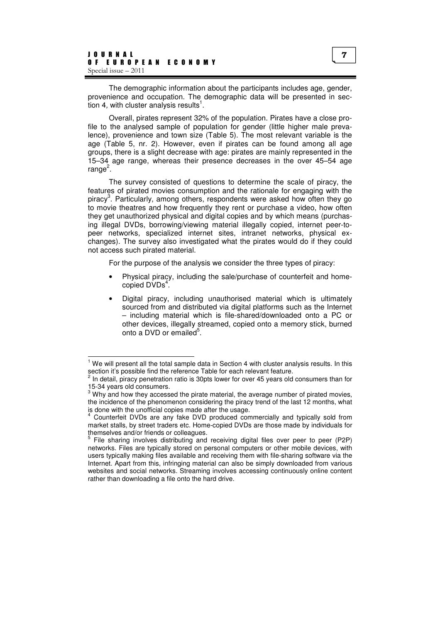$\overline{a}$ 

The demographic information about the participants includes age, gender, provenience and occupation. The demographic data will be presented in section 4, with cluster analysis results<sup>1</sup>.

Overall, pirates represent 32% of the population. Pirates have a close profile to the analysed sample of population for gender (little higher male prevalence), provenience and town size (Table 5). The most relevant variable is the age (Table 5, nr. 2). However, even if pirates can be found among all age groups, there is a slight decrease with age: pirates are mainly represented in the 15–34 age range, whereas their presence decreases in the over 45–54 age range<sup>2</sup>.

The survey consisted of questions to determine the scale of piracy, the features of pirated movies consumption and the rationale for engaging with the piracy<sup>3</sup>. Particularly, among others, respondents were asked how often they go to movie theatres and how frequently they rent or purchase a video, how often they get unauthorized physical and digital copies and by which means (purchasing illegal DVDs, borrowing/viewing material illegally copied, internet peer-topeer networks, specialized internet sites, intranet networks, physical exchanges). The survey also investigated what the pirates would do if they could not access such pirated material.

For the purpose of the analysis we consider the three types of piracy:

- Physical piracy, including the sale/purchase of counterfeit and homecopied DVDs<sup>4</sup>.
- Digital piracy, including unauthorised material which is ultimately sourced from and distributed via digital platforms such as the Internet – including material which is file-shared/downloaded onto a PC or other devices, illegally streamed, copied onto a memory stick, burned onto a DVD or emailed<sup>5</sup>.

 $1$  We will present all the total sample data in Section 4 with cluster analysis results. In this section it's possible find the reference Table for each relevant feature.<br><sup>2</sup> In detail, pireau penetration ratio is 20nte lower for aver 45 veers ald.

In detail, piracy penetration ratio is 30pts lower for over 45 years old consumers than for 15-34 years old consumers.

 $3$  Why and how they accessed the pirate material, the average number of pirated movies, the incidence of the phenomenon considering the piracy trend of the last 12 months, what is done with the unofficial copies made after the usage.

<sup>4</sup> Counterfeit DVDs are any fake DVD produced commercially and typically sold from market stalls, by street traders etc. Home-copied DVDs are those made by individuals for themselves and/or friends or colleagues.<br><sup>5</sup>. Eile abering involves distributing and

File sharing involves distributing and receiving digital files over peer to peer (P2P) networks. Files are typically stored on personal computers or other mobile devices, with users typically making files available and receiving them with file-sharing software via the Internet. Apart from this, infringing material can also be simply downloaded from various websites and social networks. Streaming involves accessing continuously online content rather than downloading a file onto the hard drive.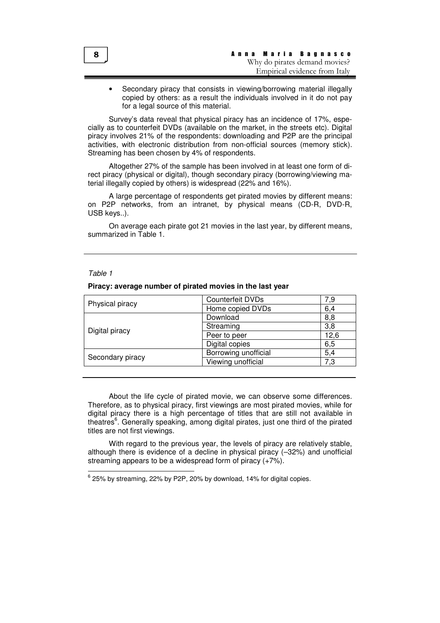Secondary piracy that consists in viewing/borrowing material illegally copied by others: as a result the individuals involved in it do not pay for a legal source of this material.

Survey's data reveal that physical piracy has an incidence of 17%, especially as to counterfeit DVDs (available on the market, in the streets etc). Digital piracy involves 21% of the respondents: downloading and P2P are the principal activities, with electronic distribution from non-official sources (memory stick). Streaming has been chosen by 4% of respondents.

Altogether 27% of the sample has been involved in at least one form of direct piracy (physical or digital), though secondary piracy (borrowing/viewing material illegally copied by others) is widespread (22% and 16%).

A large percentage of respondents get pirated movies by different means: on P2P networks, from an intranet, by physical means (CD-R, DVD-R, USB keys..).

On average each pirate got 21 movies in the last year, by different means, summarized in Table 1.

#### Table 1

 $\overline{a}$ 

| Physical piracy  | Counterfeit DVDs     | 7,9  |
|------------------|----------------------|------|
|                  | Home copied DVDs     | 6,4  |
| Digital piracy   | Download             | 8,8  |
|                  | Streaming            | 3,8  |
|                  | Peer to peer         | 12.6 |
|                  | Digital copies       | 6,5  |
| Secondary piracy | Borrowing unofficial | 5,4  |
|                  | Viewing unofficial   | 7,3  |
|                  |                      |      |

#### **Piracy: average number of pirated movies in the last year**

About the life cycle of pirated movie, we can observe some differences. Therefore, as to physical piracy, first viewings are most pirated movies, while for digital piracy there is a high percentage of titles that are still not available in theatres<sup>6</sup>. Generally speaking, among digital pirates, just one third of the pirated titles are not first viewings.

With regard to the previous year, the levels of piracy are relatively stable, although there is evidence of a decline in physical piracy (–32%) and unofficial streaming appears to be a widespread form of piracy (+7%).

 $^6$  25% by streaming, 22% by P2P, 20% by download, 14% for digital copies.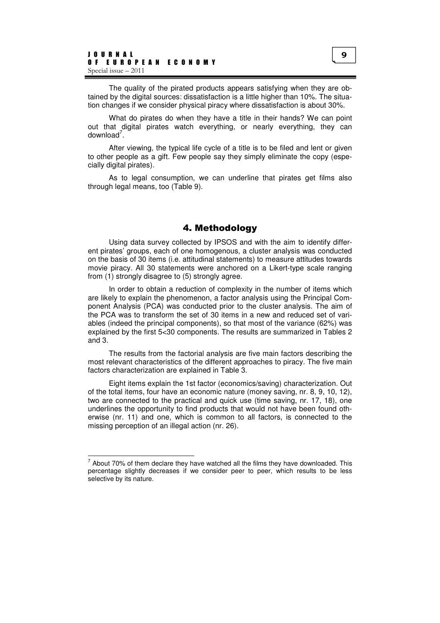The quality of the pirated products appears satisfying when they are obtained by the digital sources: dissatisfaction is a little higher than 10%. The situation changes if we consider physical piracy where dissatisfaction is about 30%.

What do pirates do when they have a title in their hands? We can point out that digital pirates watch everything, or nearly everything, they can download $^7$ .

After viewing, the typical life cycle of a title is to be filed and lent or given to other people as a gift. Few people say they simply eliminate the copy (especially digital pirates).

As to legal consumption, we can underline that pirates get films also through legal means, too (Table 9).

## 4. Methodology

Using data survey collected by IPSOS and with the aim to identify different pirates' groups, each of one homogenous, a cluster analysis was conducted on the basis of 30 items (i.e. attitudinal statements) to measure attitudes towards movie piracy. All 30 statements were anchored on a Likert-type scale ranging from (1) strongly disagree to (5) strongly agree.

In order to obtain a reduction of complexity in the number of items which are likely to explain the phenomenon, a factor analysis using the Principal Component Analysis (PCA) was conducted prior to the cluster analysis. The aim of the PCA was to transform the set of 30 items in a new and reduced set of variables (indeed the principal components), so that most of the variance (62%) was explained by the first 5<30 components. The results are summarized in Tables 2 and 3.

The results from the factorial analysis are five main factors describing the most relevant characteristics of the different approaches to piracy. The five main factors characterization are explained in Table 3.

Eight items explain the 1st factor (economics/saving) characterization. Out of the total items, four have an economic nature (money saving, nr. 8, 9, 10, 12), two are connected to the practical and quick use (time saving, nr. 17, 18), one underlines the opportunity to find products that would not have been found otherwise (nr. 11) and one, which is common to all factors, is connected to the missing perception of an illegal action (nr. 26).

 $<sup>7</sup>$  About 70% of them declare they have watched all the films they have downloaded. This</sup> percentage slightly decreases if we consider peer to peer, which results to be less selective by its nature.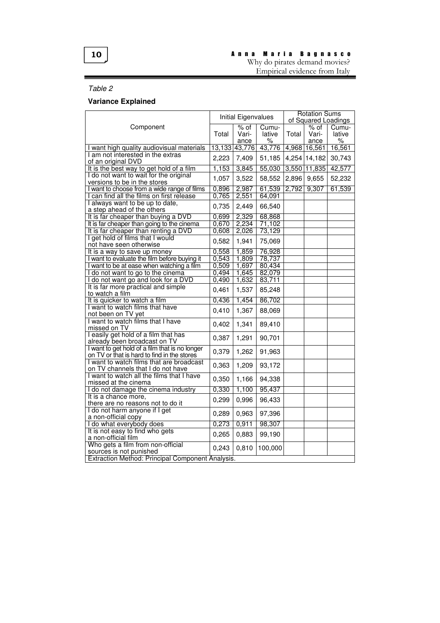# 10

# A n n a M a r i a B a g n a s c o

Why do pirates demand movies? Empirical evidence from Italy

# Table 2

# **Variance Explained**

| of Squared Loadings<br>$%$ of<br>$%$ of<br>Component<br>Cumu-<br>Cumu-<br>Total<br>Vari-<br>lative<br>Total<br>Vari-<br>lative<br>%<br>%<br>ance<br>ance<br>43,776<br>16,561<br>13,133<br>43,776<br>4,968 16,561<br>I want high quality audiovisual materials<br>I am not interested in the extras<br>4,254 14,182<br>30,743<br>2,223<br>7,409<br>51,185<br>of an original DVD<br>It is the best way to get hold of a film<br>1,153<br>3,845<br>55,030<br>3,550 11,835<br>42,577<br>I do not want to wait for the original<br>3,522<br>58,552<br>2,896<br>9,655<br>1,057<br>52,232<br>versions to be in the stores<br>0,896<br>61,539<br>2,792<br>9,307<br>61,539<br>2,987<br>I want to choose from a wide range of films<br>2,551<br>0,765<br>64,091<br>can find all the films on first release<br>I always want to be up to date,<br>2,449<br>0,735<br>66,540<br>a step ahead of the others<br>2,329<br>68,868<br>It is far cheaper than buying a DVD<br>0,699<br>2,234<br>71,102<br>It is far cheaper than going to the cinema<br>0,670<br>It is far cheaper than renting a DVD<br>2,026<br>73,129<br>0,608<br>I get hold of films that I would<br>1,941<br>0,582<br>75,069<br>not have seen otherwise<br>0,558<br>1,859<br>76,928<br>It is a way to save up money<br>0,543<br>1,809<br>78,737<br>I want to evaluate the film before buying it<br>I want to be at ease when watching a film<br>0,509<br>1,697<br>80,434<br>1,645<br>82,079<br>I do not want to go to the cinema<br>0,494<br>0,490<br>1,632<br>83,711<br>I do not want go and look for a DVD<br>It is far more practical and simple<br>0,461<br>1,537<br>85,248<br>to watch a film<br>1,454<br>86,702<br>It is quicker to watch a film<br>0,436<br>I want to watch films that have<br>1,367<br>0,410<br>88,069<br>not been on TV yet<br>I want to watch films that I have<br>1,341<br>89,410<br>0,402<br>missed on TV<br>I easily get hold of a film that has<br>0,387<br>1,291<br>90,701<br>already been broadcast on TV<br>I want to get hold of a film that is no longer<br>0,379<br>1,262<br>91,963<br>on TV or that is hard to find in the stores<br>I want to watch films that are broadcast<br>0,363<br>1,209<br>93,172<br>on TV channels that I do not have<br>I want to watch all the films that I have<br>0,350<br>1,166<br>94,338<br>missed at the cinema<br>1,100<br>95,437<br>I do not damage the cinema industry<br>0,330<br>It is a chance more,<br>0,299<br>0,996<br>96,433<br>there are no reasons not to do it<br>I do not harm anyone if I get<br>0,963<br>97,396<br>0,289<br>a non-official copy<br>0,911<br>98,307<br>0,273<br>I do what everybody does<br>It is not easy to find who gets<br>0,265<br>0,883<br>99,190<br>a non-official film<br>Who gets a film from non-official<br>0,243<br>0,810<br>100,000<br>sources is not punished<br>Extraction Method: Principal Component Analysis. |  | Initial Eigenvalues |  | <b>Rotation Sums</b> |  |
|---------------------------------------------------------------------------------------------------------------------------------------------------------------------------------------------------------------------------------------------------------------------------------------------------------------------------------------------------------------------------------------------------------------------------------------------------------------------------------------------------------------------------------------------------------------------------------------------------------------------------------------------------------------------------------------------------------------------------------------------------------------------------------------------------------------------------------------------------------------------------------------------------------------------------------------------------------------------------------------------------------------------------------------------------------------------------------------------------------------------------------------------------------------------------------------------------------------------------------------------------------------------------------------------------------------------------------------------------------------------------------------------------------------------------------------------------------------------------------------------------------------------------------------------------------------------------------------------------------------------------------------------------------------------------------------------------------------------------------------------------------------------------------------------------------------------------------------------------------------------------------------------------------------------------------------------------------------------------------------------------------------------------------------------------------------------------------------------------------------------------------------------------------------------------------------------------------------------------------------------------------------------------------------------------------------------------------------------------------------------------------------------------------------------------------------------------------------------------------------------------------------------------------------------------------------------------------------------------------------------------------------------------------------------------------------------------------------------------------------------------------------------------------------------------------------------------------------------------------------------------------------|--|---------------------|--|----------------------|--|
|                                                                                                                                                                                                                                                                                                                                                                                                                                                                                                                                                                                                                                                                                                                                                                                                                                                                                                                                                                                                                                                                                                                                                                                                                                                                                                                                                                                                                                                                                                                                                                                                                                                                                                                                                                                                                                                                                                                                                                                                                                                                                                                                                                                                                                                                                                                                                                                                                                                                                                                                                                                                                                                                                                                                                                                                                                                                                       |  |                     |  |                      |  |
|                                                                                                                                                                                                                                                                                                                                                                                                                                                                                                                                                                                                                                                                                                                                                                                                                                                                                                                                                                                                                                                                                                                                                                                                                                                                                                                                                                                                                                                                                                                                                                                                                                                                                                                                                                                                                                                                                                                                                                                                                                                                                                                                                                                                                                                                                                                                                                                                                                                                                                                                                                                                                                                                                                                                                                                                                                                                                       |  |                     |  |                      |  |
|                                                                                                                                                                                                                                                                                                                                                                                                                                                                                                                                                                                                                                                                                                                                                                                                                                                                                                                                                                                                                                                                                                                                                                                                                                                                                                                                                                                                                                                                                                                                                                                                                                                                                                                                                                                                                                                                                                                                                                                                                                                                                                                                                                                                                                                                                                                                                                                                                                                                                                                                                                                                                                                                                                                                                                                                                                                                                       |  |                     |  |                      |  |
|                                                                                                                                                                                                                                                                                                                                                                                                                                                                                                                                                                                                                                                                                                                                                                                                                                                                                                                                                                                                                                                                                                                                                                                                                                                                                                                                                                                                                                                                                                                                                                                                                                                                                                                                                                                                                                                                                                                                                                                                                                                                                                                                                                                                                                                                                                                                                                                                                                                                                                                                                                                                                                                                                                                                                                                                                                                                                       |  |                     |  |                      |  |
|                                                                                                                                                                                                                                                                                                                                                                                                                                                                                                                                                                                                                                                                                                                                                                                                                                                                                                                                                                                                                                                                                                                                                                                                                                                                                                                                                                                                                                                                                                                                                                                                                                                                                                                                                                                                                                                                                                                                                                                                                                                                                                                                                                                                                                                                                                                                                                                                                                                                                                                                                                                                                                                                                                                                                                                                                                                                                       |  |                     |  |                      |  |
|                                                                                                                                                                                                                                                                                                                                                                                                                                                                                                                                                                                                                                                                                                                                                                                                                                                                                                                                                                                                                                                                                                                                                                                                                                                                                                                                                                                                                                                                                                                                                                                                                                                                                                                                                                                                                                                                                                                                                                                                                                                                                                                                                                                                                                                                                                                                                                                                                                                                                                                                                                                                                                                                                                                                                                                                                                                                                       |  |                     |  |                      |  |
|                                                                                                                                                                                                                                                                                                                                                                                                                                                                                                                                                                                                                                                                                                                                                                                                                                                                                                                                                                                                                                                                                                                                                                                                                                                                                                                                                                                                                                                                                                                                                                                                                                                                                                                                                                                                                                                                                                                                                                                                                                                                                                                                                                                                                                                                                                                                                                                                                                                                                                                                                                                                                                                                                                                                                                                                                                                                                       |  |                     |  |                      |  |
|                                                                                                                                                                                                                                                                                                                                                                                                                                                                                                                                                                                                                                                                                                                                                                                                                                                                                                                                                                                                                                                                                                                                                                                                                                                                                                                                                                                                                                                                                                                                                                                                                                                                                                                                                                                                                                                                                                                                                                                                                                                                                                                                                                                                                                                                                                                                                                                                                                                                                                                                                                                                                                                                                                                                                                                                                                                                                       |  |                     |  |                      |  |
|                                                                                                                                                                                                                                                                                                                                                                                                                                                                                                                                                                                                                                                                                                                                                                                                                                                                                                                                                                                                                                                                                                                                                                                                                                                                                                                                                                                                                                                                                                                                                                                                                                                                                                                                                                                                                                                                                                                                                                                                                                                                                                                                                                                                                                                                                                                                                                                                                                                                                                                                                                                                                                                                                                                                                                                                                                                                                       |  |                     |  |                      |  |
|                                                                                                                                                                                                                                                                                                                                                                                                                                                                                                                                                                                                                                                                                                                                                                                                                                                                                                                                                                                                                                                                                                                                                                                                                                                                                                                                                                                                                                                                                                                                                                                                                                                                                                                                                                                                                                                                                                                                                                                                                                                                                                                                                                                                                                                                                                                                                                                                                                                                                                                                                                                                                                                                                                                                                                                                                                                                                       |  |                     |  |                      |  |
|                                                                                                                                                                                                                                                                                                                                                                                                                                                                                                                                                                                                                                                                                                                                                                                                                                                                                                                                                                                                                                                                                                                                                                                                                                                                                                                                                                                                                                                                                                                                                                                                                                                                                                                                                                                                                                                                                                                                                                                                                                                                                                                                                                                                                                                                                                                                                                                                                                                                                                                                                                                                                                                                                                                                                                                                                                                                                       |  |                     |  |                      |  |
|                                                                                                                                                                                                                                                                                                                                                                                                                                                                                                                                                                                                                                                                                                                                                                                                                                                                                                                                                                                                                                                                                                                                                                                                                                                                                                                                                                                                                                                                                                                                                                                                                                                                                                                                                                                                                                                                                                                                                                                                                                                                                                                                                                                                                                                                                                                                                                                                                                                                                                                                                                                                                                                                                                                                                                                                                                                                                       |  |                     |  |                      |  |
|                                                                                                                                                                                                                                                                                                                                                                                                                                                                                                                                                                                                                                                                                                                                                                                                                                                                                                                                                                                                                                                                                                                                                                                                                                                                                                                                                                                                                                                                                                                                                                                                                                                                                                                                                                                                                                                                                                                                                                                                                                                                                                                                                                                                                                                                                                                                                                                                                                                                                                                                                                                                                                                                                                                                                                                                                                                                                       |  |                     |  |                      |  |
|                                                                                                                                                                                                                                                                                                                                                                                                                                                                                                                                                                                                                                                                                                                                                                                                                                                                                                                                                                                                                                                                                                                                                                                                                                                                                                                                                                                                                                                                                                                                                                                                                                                                                                                                                                                                                                                                                                                                                                                                                                                                                                                                                                                                                                                                                                                                                                                                                                                                                                                                                                                                                                                                                                                                                                                                                                                                                       |  |                     |  |                      |  |
|                                                                                                                                                                                                                                                                                                                                                                                                                                                                                                                                                                                                                                                                                                                                                                                                                                                                                                                                                                                                                                                                                                                                                                                                                                                                                                                                                                                                                                                                                                                                                                                                                                                                                                                                                                                                                                                                                                                                                                                                                                                                                                                                                                                                                                                                                                                                                                                                                                                                                                                                                                                                                                                                                                                                                                                                                                                                                       |  |                     |  |                      |  |
|                                                                                                                                                                                                                                                                                                                                                                                                                                                                                                                                                                                                                                                                                                                                                                                                                                                                                                                                                                                                                                                                                                                                                                                                                                                                                                                                                                                                                                                                                                                                                                                                                                                                                                                                                                                                                                                                                                                                                                                                                                                                                                                                                                                                                                                                                                                                                                                                                                                                                                                                                                                                                                                                                                                                                                                                                                                                                       |  |                     |  |                      |  |
|                                                                                                                                                                                                                                                                                                                                                                                                                                                                                                                                                                                                                                                                                                                                                                                                                                                                                                                                                                                                                                                                                                                                                                                                                                                                                                                                                                                                                                                                                                                                                                                                                                                                                                                                                                                                                                                                                                                                                                                                                                                                                                                                                                                                                                                                                                                                                                                                                                                                                                                                                                                                                                                                                                                                                                                                                                                                                       |  |                     |  |                      |  |
|                                                                                                                                                                                                                                                                                                                                                                                                                                                                                                                                                                                                                                                                                                                                                                                                                                                                                                                                                                                                                                                                                                                                                                                                                                                                                                                                                                                                                                                                                                                                                                                                                                                                                                                                                                                                                                                                                                                                                                                                                                                                                                                                                                                                                                                                                                                                                                                                                                                                                                                                                                                                                                                                                                                                                                                                                                                                                       |  |                     |  |                      |  |
|                                                                                                                                                                                                                                                                                                                                                                                                                                                                                                                                                                                                                                                                                                                                                                                                                                                                                                                                                                                                                                                                                                                                                                                                                                                                                                                                                                                                                                                                                                                                                                                                                                                                                                                                                                                                                                                                                                                                                                                                                                                                                                                                                                                                                                                                                                                                                                                                                                                                                                                                                                                                                                                                                                                                                                                                                                                                                       |  |                     |  |                      |  |
|                                                                                                                                                                                                                                                                                                                                                                                                                                                                                                                                                                                                                                                                                                                                                                                                                                                                                                                                                                                                                                                                                                                                                                                                                                                                                                                                                                                                                                                                                                                                                                                                                                                                                                                                                                                                                                                                                                                                                                                                                                                                                                                                                                                                                                                                                                                                                                                                                                                                                                                                                                                                                                                                                                                                                                                                                                                                                       |  |                     |  |                      |  |
|                                                                                                                                                                                                                                                                                                                                                                                                                                                                                                                                                                                                                                                                                                                                                                                                                                                                                                                                                                                                                                                                                                                                                                                                                                                                                                                                                                                                                                                                                                                                                                                                                                                                                                                                                                                                                                                                                                                                                                                                                                                                                                                                                                                                                                                                                                                                                                                                                                                                                                                                                                                                                                                                                                                                                                                                                                                                                       |  |                     |  |                      |  |
|                                                                                                                                                                                                                                                                                                                                                                                                                                                                                                                                                                                                                                                                                                                                                                                                                                                                                                                                                                                                                                                                                                                                                                                                                                                                                                                                                                                                                                                                                                                                                                                                                                                                                                                                                                                                                                                                                                                                                                                                                                                                                                                                                                                                                                                                                                                                                                                                                                                                                                                                                                                                                                                                                                                                                                                                                                                                                       |  |                     |  |                      |  |
|                                                                                                                                                                                                                                                                                                                                                                                                                                                                                                                                                                                                                                                                                                                                                                                                                                                                                                                                                                                                                                                                                                                                                                                                                                                                                                                                                                                                                                                                                                                                                                                                                                                                                                                                                                                                                                                                                                                                                                                                                                                                                                                                                                                                                                                                                                                                                                                                                                                                                                                                                                                                                                                                                                                                                                                                                                                                                       |  |                     |  |                      |  |
|                                                                                                                                                                                                                                                                                                                                                                                                                                                                                                                                                                                                                                                                                                                                                                                                                                                                                                                                                                                                                                                                                                                                                                                                                                                                                                                                                                                                                                                                                                                                                                                                                                                                                                                                                                                                                                                                                                                                                                                                                                                                                                                                                                                                                                                                                                                                                                                                                                                                                                                                                                                                                                                                                                                                                                                                                                                                                       |  |                     |  |                      |  |
|                                                                                                                                                                                                                                                                                                                                                                                                                                                                                                                                                                                                                                                                                                                                                                                                                                                                                                                                                                                                                                                                                                                                                                                                                                                                                                                                                                                                                                                                                                                                                                                                                                                                                                                                                                                                                                                                                                                                                                                                                                                                                                                                                                                                                                                                                                                                                                                                                                                                                                                                                                                                                                                                                                                                                                                                                                                                                       |  |                     |  |                      |  |
|                                                                                                                                                                                                                                                                                                                                                                                                                                                                                                                                                                                                                                                                                                                                                                                                                                                                                                                                                                                                                                                                                                                                                                                                                                                                                                                                                                                                                                                                                                                                                                                                                                                                                                                                                                                                                                                                                                                                                                                                                                                                                                                                                                                                                                                                                                                                                                                                                                                                                                                                                                                                                                                                                                                                                                                                                                                                                       |  |                     |  |                      |  |
|                                                                                                                                                                                                                                                                                                                                                                                                                                                                                                                                                                                                                                                                                                                                                                                                                                                                                                                                                                                                                                                                                                                                                                                                                                                                                                                                                                                                                                                                                                                                                                                                                                                                                                                                                                                                                                                                                                                                                                                                                                                                                                                                                                                                                                                                                                                                                                                                                                                                                                                                                                                                                                                                                                                                                                                                                                                                                       |  |                     |  |                      |  |
|                                                                                                                                                                                                                                                                                                                                                                                                                                                                                                                                                                                                                                                                                                                                                                                                                                                                                                                                                                                                                                                                                                                                                                                                                                                                                                                                                                                                                                                                                                                                                                                                                                                                                                                                                                                                                                                                                                                                                                                                                                                                                                                                                                                                                                                                                                                                                                                                                                                                                                                                                                                                                                                                                                                                                                                                                                                                                       |  |                     |  |                      |  |
|                                                                                                                                                                                                                                                                                                                                                                                                                                                                                                                                                                                                                                                                                                                                                                                                                                                                                                                                                                                                                                                                                                                                                                                                                                                                                                                                                                                                                                                                                                                                                                                                                                                                                                                                                                                                                                                                                                                                                                                                                                                                                                                                                                                                                                                                                                                                                                                                                                                                                                                                                                                                                                                                                                                                                                                                                                                                                       |  |                     |  |                      |  |
|                                                                                                                                                                                                                                                                                                                                                                                                                                                                                                                                                                                                                                                                                                                                                                                                                                                                                                                                                                                                                                                                                                                                                                                                                                                                                                                                                                                                                                                                                                                                                                                                                                                                                                                                                                                                                                                                                                                                                                                                                                                                                                                                                                                                                                                                                                                                                                                                                                                                                                                                                                                                                                                                                                                                                                                                                                                                                       |  |                     |  |                      |  |
|                                                                                                                                                                                                                                                                                                                                                                                                                                                                                                                                                                                                                                                                                                                                                                                                                                                                                                                                                                                                                                                                                                                                                                                                                                                                                                                                                                                                                                                                                                                                                                                                                                                                                                                                                                                                                                                                                                                                                                                                                                                                                                                                                                                                                                                                                                                                                                                                                                                                                                                                                                                                                                                                                                                                                                                                                                                                                       |  |                     |  |                      |  |
|                                                                                                                                                                                                                                                                                                                                                                                                                                                                                                                                                                                                                                                                                                                                                                                                                                                                                                                                                                                                                                                                                                                                                                                                                                                                                                                                                                                                                                                                                                                                                                                                                                                                                                                                                                                                                                                                                                                                                                                                                                                                                                                                                                                                                                                                                                                                                                                                                                                                                                                                                                                                                                                                                                                                                                                                                                                                                       |  |                     |  |                      |  |
|                                                                                                                                                                                                                                                                                                                                                                                                                                                                                                                                                                                                                                                                                                                                                                                                                                                                                                                                                                                                                                                                                                                                                                                                                                                                                                                                                                                                                                                                                                                                                                                                                                                                                                                                                                                                                                                                                                                                                                                                                                                                                                                                                                                                                                                                                                                                                                                                                                                                                                                                                                                                                                                                                                                                                                                                                                                                                       |  |                     |  |                      |  |
|                                                                                                                                                                                                                                                                                                                                                                                                                                                                                                                                                                                                                                                                                                                                                                                                                                                                                                                                                                                                                                                                                                                                                                                                                                                                                                                                                                                                                                                                                                                                                                                                                                                                                                                                                                                                                                                                                                                                                                                                                                                                                                                                                                                                                                                                                                                                                                                                                                                                                                                                                                                                                                                                                                                                                                                                                                                                                       |  |                     |  |                      |  |
|                                                                                                                                                                                                                                                                                                                                                                                                                                                                                                                                                                                                                                                                                                                                                                                                                                                                                                                                                                                                                                                                                                                                                                                                                                                                                                                                                                                                                                                                                                                                                                                                                                                                                                                                                                                                                                                                                                                                                                                                                                                                                                                                                                                                                                                                                                                                                                                                                                                                                                                                                                                                                                                                                                                                                                                                                                                                                       |  |                     |  |                      |  |
|                                                                                                                                                                                                                                                                                                                                                                                                                                                                                                                                                                                                                                                                                                                                                                                                                                                                                                                                                                                                                                                                                                                                                                                                                                                                                                                                                                                                                                                                                                                                                                                                                                                                                                                                                                                                                                                                                                                                                                                                                                                                                                                                                                                                                                                                                                                                                                                                                                                                                                                                                                                                                                                                                                                                                                                                                                                                                       |  |                     |  |                      |  |
|                                                                                                                                                                                                                                                                                                                                                                                                                                                                                                                                                                                                                                                                                                                                                                                                                                                                                                                                                                                                                                                                                                                                                                                                                                                                                                                                                                                                                                                                                                                                                                                                                                                                                                                                                                                                                                                                                                                                                                                                                                                                                                                                                                                                                                                                                                                                                                                                                                                                                                                                                                                                                                                                                                                                                                                                                                                                                       |  |                     |  |                      |  |
|                                                                                                                                                                                                                                                                                                                                                                                                                                                                                                                                                                                                                                                                                                                                                                                                                                                                                                                                                                                                                                                                                                                                                                                                                                                                                                                                                                                                                                                                                                                                                                                                                                                                                                                                                                                                                                                                                                                                                                                                                                                                                                                                                                                                                                                                                                                                                                                                                                                                                                                                                                                                                                                                                                                                                                                                                                                                                       |  |                     |  |                      |  |
|                                                                                                                                                                                                                                                                                                                                                                                                                                                                                                                                                                                                                                                                                                                                                                                                                                                                                                                                                                                                                                                                                                                                                                                                                                                                                                                                                                                                                                                                                                                                                                                                                                                                                                                                                                                                                                                                                                                                                                                                                                                                                                                                                                                                                                                                                                                                                                                                                                                                                                                                                                                                                                                                                                                                                                                                                                                                                       |  |                     |  |                      |  |
|                                                                                                                                                                                                                                                                                                                                                                                                                                                                                                                                                                                                                                                                                                                                                                                                                                                                                                                                                                                                                                                                                                                                                                                                                                                                                                                                                                                                                                                                                                                                                                                                                                                                                                                                                                                                                                                                                                                                                                                                                                                                                                                                                                                                                                                                                                                                                                                                                                                                                                                                                                                                                                                                                                                                                                                                                                                                                       |  |                     |  |                      |  |
|                                                                                                                                                                                                                                                                                                                                                                                                                                                                                                                                                                                                                                                                                                                                                                                                                                                                                                                                                                                                                                                                                                                                                                                                                                                                                                                                                                                                                                                                                                                                                                                                                                                                                                                                                                                                                                                                                                                                                                                                                                                                                                                                                                                                                                                                                                                                                                                                                                                                                                                                                                                                                                                                                                                                                                                                                                                                                       |  |                     |  |                      |  |
|                                                                                                                                                                                                                                                                                                                                                                                                                                                                                                                                                                                                                                                                                                                                                                                                                                                                                                                                                                                                                                                                                                                                                                                                                                                                                                                                                                                                                                                                                                                                                                                                                                                                                                                                                                                                                                                                                                                                                                                                                                                                                                                                                                                                                                                                                                                                                                                                                                                                                                                                                                                                                                                                                                                                                                                                                                                                                       |  |                     |  |                      |  |
|                                                                                                                                                                                                                                                                                                                                                                                                                                                                                                                                                                                                                                                                                                                                                                                                                                                                                                                                                                                                                                                                                                                                                                                                                                                                                                                                                                                                                                                                                                                                                                                                                                                                                                                                                                                                                                                                                                                                                                                                                                                                                                                                                                                                                                                                                                                                                                                                                                                                                                                                                                                                                                                                                                                                                                                                                                                                                       |  |                     |  |                      |  |
|                                                                                                                                                                                                                                                                                                                                                                                                                                                                                                                                                                                                                                                                                                                                                                                                                                                                                                                                                                                                                                                                                                                                                                                                                                                                                                                                                                                                                                                                                                                                                                                                                                                                                                                                                                                                                                                                                                                                                                                                                                                                                                                                                                                                                                                                                                                                                                                                                                                                                                                                                                                                                                                                                                                                                                                                                                                                                       |  |                     |  |                      |  |
|                                                                                                                                                                                                                                                                                                                                                                                                                                                                                                                                                                                                                                                                                                                                                                                                                                                                                                                                                                                                                                                                                                                                                                                                                                                                                                                                                                                                                                                                                                                                                                                                                                                                                                                                                                                                                                                                                                                                                                                                                                                                                                                                                                                                                                                                                                                                                                                                                                                                                                                                                                                                                                                                                                                                                                                                                                                                                       |  |                     |  |                      |  |
|                                                                                                                                                                                                                                                                                                                                                                                                                                                                                                                                                                                                                                                                                                                                                                                                                                                                                                                                                                                                                                                                                                                                                                                                                                                                                                                                                                                                                                                                                                                                                                                                                                                                                                                                                                                                                                                                                                                                                                                                                                                                                                                                                                                                                                                                                                                                                                                                                                                                                                                                                                                                                                                                                                                                                                                                                                                                                       |  |                     |  |                      |  |
|                                                                                                                                                                                                                                                                                                                                                                                                                                                                                                                                                                                                                                                                                                                                                                                                                                                                                                                                                                                                                                                                                                                                                                                                                                                                                                                                                                                                                                                                                                                                                                                                                                                                                                                                                                                                                                                                                                                                                                                                                                                                                                                                                                                                                                                                                                                                                                                                                                                                                                                                                                                                                                                                                                                                                                                                                                                                                       |  |                     |  |                      |  |
|                                                                                                                                                                                                                                                                                                                                                                                                                                                                                                                                                                                                                                                                                                                                                                                                                                                                                                                                                                                                                                                                                                                                                                                                                                                                                                                                                                                                                                                                                                                                                                                                                                                                                                                                                                                                                                                                                                                                                                                                                                                                                                                                                                                                                                                                                                                                                                                                                                                                                                                                                                                                                                                                                                                                                                                                                                                                                       |  |                     |  |                      |  |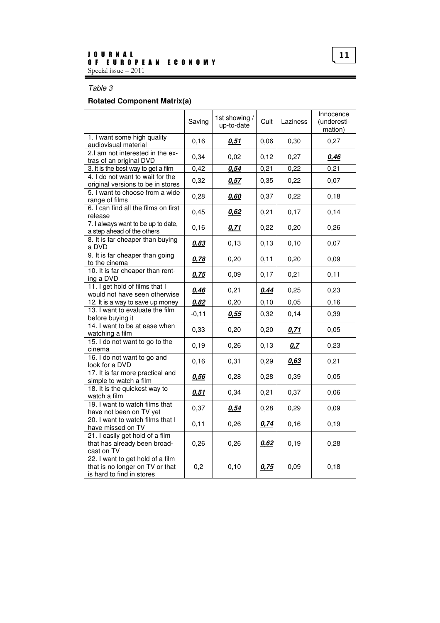## Table 3

## **Rotated Component Matrix(a)**

|                                                                                                  | Saving  | 1st showing /<br>up-to-date | Cult  | Laziness | Innocence<br>(underesti-<br>mation) |
|--------------------------------------------------------------------------------------------------|---------|-----------------------------|-------|----------|-------------------------------------|
| 1. I want some high quality<br>audiovisual material                                              | 0, 16   | 0,51                        | 0,06  | 0,30     | 0,27                                |
| 2.I am not interested in the ex-<br>tras of an original DVD                                      | 0,34    | 0,02                        | 0,12  | 0,27     | 0,46                                |
| 3. It is the best way to get a film                                                              | 0,42    | 0,54                        | 0,21  | 0,22     | 0,21                                |
| 4. I do not want to wait for the<br>original versions to be in stores                            | 0,32    | 0,57                        | 0,35  | 0,22     | 0,07                                |
| 5. I want to choose from a wide<br>range of films                                                | 0,28    | 0,60                        | 0,37  | 0,22     | 0,18                                |
| 6. I can find all the films on first<br>release                                                  | 0,45    | 0,62                        | 0,21  | 0,17     | 0,14                                |
| 7. I always want to be up to date,<br>a step ahead of the others                                 | 0,16    | 0,71                        | 0,22  | 0,20     | 0,26                                |
| 8. It is far cheaper than buying<br>a DVD                                                        | 0,83    | 0, 13                       | 0, 13 | 0,10     | 0,07                                |
| 9. It is far cheaper than going<br>to the cinema                                                 | 0,78    | 0,20                        | 0,11  | 0,20     | 0,09                                |
| 10. It is far cheaper than rent-<br>ing a DVD                                                    | 0,75    | 0,09                        | 0,17  | 0,21     | 0,11                                |
| 11. I get hold of films that I<br>would not have seen otherwise                                  | 0,46    | 0,21                        | 0,44  | 0,25     | 0,23                                |
| 12. It is a way to save up money                                                                 | 0,82    | 0,20                        | 0,10  | 0,05     | 0,16                                |
| 13. I want to evaluate the film<br>before buying it                                              | $-0,11$ | 0,55                        | 0,32  | 0,14     | 0,39                                |
| 14. I want to be at ease when<br>watching a film                                                 | 0,33    | 0,20                        | 0,20  | 0,71     | 0,05                                |
| 15. I do not want to go to the<br>cinema                                                         | 0, 19   | 0,26                        | 0, 13 | 0,7      | 0,23                                |
| 16. I do not want to go and<br>look for a DVD                                                    | 0, 16   | 0,31                        | 0,29  | 0,63     | 0,21                                |
| 17. It is far more practical and<br>simple to watch a film                                       | 0,56    | 0,28                        | 0,28  | 0,39     | 0,05                                |
| 18. It is the quickest way to<br>watch a film                                                    | 0.51    | 0,34                        | 0,21  | 0,37     | 0,06                                |
| 19. I want to watch films that<br>have not been on TV yet                                        | 0,37    | 0,54                        | 0,28  | 0,29     | 0,09                                |
| 20. I want to watch films that I<br>have missed on TV                                            | 0,11    | 0,26                        | 0,74  | 0,16     | 0,19                                |
| 21. I easily get hold of a film<br>that has already been broad-<br>cast on TV                    | 0,26    | 0,26                        | 0,62  | 0, 19    | 0,28                                |
| 22. I want to get hold of a film<br>that is no longer on TV or that<br>is hard to find in stores | 0,2     | 0,10                        | 0,75  | 0,09     | 0, 18                               |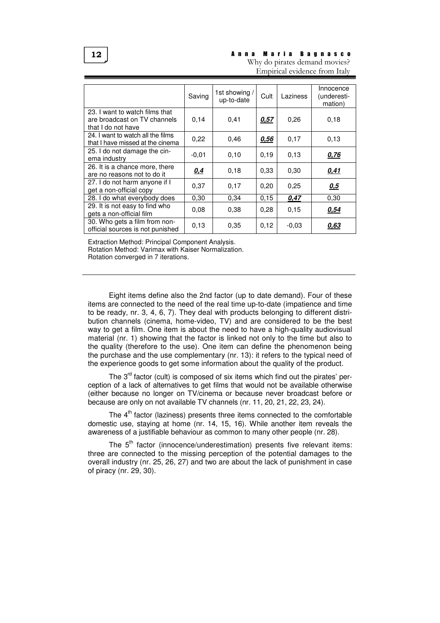#### A n n a M a r i a B a g n a s c o Why do pirates demand movies?

Empirical evidence from Italy

|                                                                                      | Saving  | 1st showing /<br>up-to-date | Cult  | Laziness | Innocence<br>(underesti-<br>mation) |
|--------------------------------------------------------------------------------------|---------|-----------------------------|-------|----------|-------------------------------------|
| 23. I want to watch films that<br>are broadcast on TV channels<br>that I do not have | 0,14    | 0,41                        | 0,57  | 0,26     | 0,18                                |
| 24. I want to watch all the films<br>that I have missed at the cinema                | 0,22    | 0.46                        | 0,56  | 0,17     | 0,13                                |
| 25. I do not damage the cin-<br>ema industry                                         | $-0.01$ | 0,10                        | 0,19  | 0,13     | 0,76                                |
| 26. It is a chance more, there<br>are no reasons not to do it                        | 0.4     | 0,18                        | 0.33  | 0,30     | 0,41                                |
| 27. I do not harm anyone if I<br>get a non-official copy                             | 0,37    | 0,17                        | 0,20  | 0,25     | 0,5                                 |
| 28. I do what everybody does                                                         | 0,30    | 0,34                        | 0, 15 | 0,47     | 0,30                                |
| 29. It is not easy to find who<br>gets a non-official film                           | 0,08    | 0,38                        | 0,28  | 0,15     | 0,54                                |
| 30. Who gets a film from non-<br>official sources is not punished                    | 0,13    | 0.35                        | 0,12  | $-0.03$  | 0,63                                |

Extraction Method: Principal Component Analysis.

Rotation Method: Varimax with Kaiser Normalization.

Rotation converged in 7 iterations.

Eight items define also the 2nd factor (up to date demand). Four of these items are connected to the need of the real time up-to-date (impatience and time to be ready, nr. 3, 4, 6, 7). They deal with products belonging to different distribution channels (cinema, home-video, TV) and are considered to be the best way to get a film. One item is about the need to have a high-quality audiovisual material (nr. 1) showing that the factor is linked not only to the time but also to the quality (therefore to the use). One item can define the phenomenon being the purchase and the use complementary (nr. 13): it refers to the typical need of the experience goods to get some information about the quality of the product.

The  $3<sup>rd</sup>$  factor (cult) is composed of six items which find out the pirates' perception of a lack of alternatives to get films that would not be available otherwise (either because no longer on TV/cinema or because never broadcast before or because are only on not available TV channels (nr. 11, 20, 21, 22, 23, 24).

The  $4<sup>th</sup>$  factor (laziness) presents three items connected to the comfortable domestic use, staying at home (nr. 14, 15, 16). While another item reveals the awareness of a justifiable behaviour as common to many other people (nr. 28).

The  $5<sup>th</sup>$  factor (innocence/underestimation) presents five relevant items: three are connected to the missing perception of the potential damages to the overall industry (nr. 25, 26, 27) and two are about the lack of punishment in case of piracy (nr. 29, 30).

12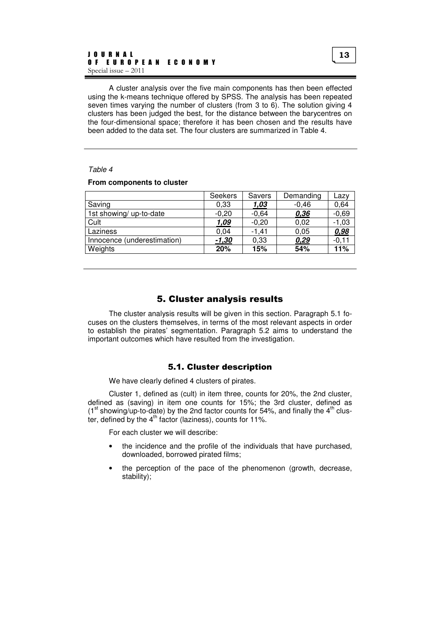A cluster analysis over the five main components has then been effected using the k-means technique offered by SPSS. The analysis has been repeated seven times varying the number of clusters (from 3 to 6). The solution giving 4 clusters has been judged the best, for the distance between the barycentres on the four-dimensional space; therefore it has been chosen and the results have been added to the data set. The four clusters are summarized in Table 4.

#### Table 4

#### **From components to cluster**

|                             | Seekers | <b>Savers</b> | Demanding | Lazv    |
|-----------------------------|---------|---------------|-----------|---------|
| Saving                      | 0,33    | 1,03          | $-0,46$   | 0,64    |
| 1st showing/ up-to-date     | $-0,20$ | $-0,64$       | 0,36      | $-0,69$ |
| Cult                        | 1,09    | $-0.20$       | 0.02      | $-1,03$ |
| Laziness                    | 0.04    | $-1.41$       | 0.05      | 0,98    |
| Innocence (underestimation) | -1,30   | 0,33          | 0,29      | $-0.11$ |
| Weights                     | 20%     | 15%           | 54%       | 11%     |

# 5. Cluster analysis results

The cluster analysis results will be given in this section. Paragraph 5.1 focuses on the clusters themselves, in terms of the most relevant aspects in order to establish the pirates' segmentation. Paragraph 5.2 aims to understand the important outcomes which have resulted from the investigation.

#### 5.1. Cluster description

We have clearly defined 4 clusters of pirates.

Cluster 1, defined as (cult) in item three, counts for 20%, the 2nd cluster, defined as (saving) in item one counts for 15%; the 3rd cluster, defined as  $(1<sup>st</sup> showing-up-to-date)$  by the 2nd factor counts for 54%, and finally the 4<sup>th</sup> cluster, defined by the  $4<sup>th</sup>$  factor (laziness), counts for 11%.

For each cluster we will describe:

- the incidence and the profile of the individuals that have purchased, downloaded, borrowed pirated films;
- the perception of the pace of the phenomenon (growth, decrease, stability);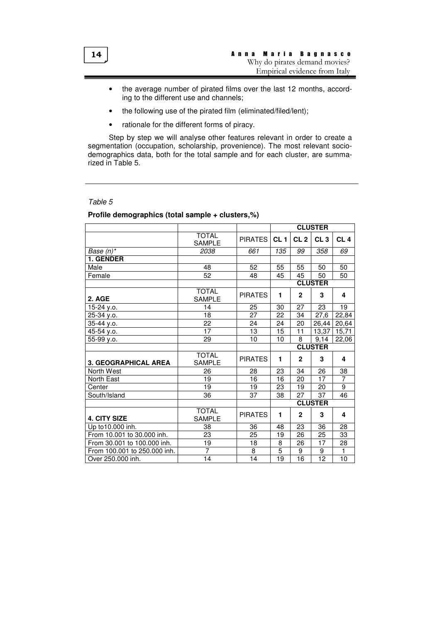- the average number of pirated films over the last 12 months, according to the different use and channels;
- the following use of the pirated film (eliminated/filed/lent);
- rationale for the different forms of piracy.

Step by step we will analyse other features relevant in order to create a segmentation (occupation, scholarship, provenience). The most relevant sociodemographics data, both for the total sample and for each cluster, are summarized in Table 5.

#### Table 5

|                              |                               |                | <b>CLUSTER</b>  |                 |                 |                 |  |
|------------------------------|-------------------------------|----------------|-----------------|-----------------|-----------------|-----------------|--|
|                              | <b>TOTAL</b><br><b>SAMPLE</b> | <b>PIRATES</b> | CL <sub>1</sub> | CL <sub>2</sub> | CL <sub>3</sub> | CL <sub>4</sub> |  |
| Base (n)*                    | 2038                          | 661            | 135             | 99              | 358             | 69              |  |
| <b>1. GENDER</b>             |                               |                |                 |                 |                 |                 |  |
| Male                         | 48                            | 52             | 55              | 55              | 50              | 50              |  |
| Female                       | $\overline{52}$               | 48             | 45              | 45              | 50              | 50              |  |
|                              |                               |                |                 |                 | <b>CLUSTER</b>  |                 |  |
| 2. AGE                       | <b>TOTAL</b><br><b>SAMPLE</b> | <b>PIRATES</b> | 1               | $\mathbf{2}$    | 3               | 4               |  |
| 15-24 y.o.                   | 14                            | 25             | 30              | 27              | 23              | 19              |  |
| 25-34 y.o.                   | 18                            | 27             | 22              | 34              | 27,6            | 22,84           |  |
| 35-44 y.o.                   | 22                            | 24             | 24              | 20              | 26,44           | 20,64           |  |
| 45-54 y.o.                   | 17                            | 13             | 15              | 11              | 13,37           | 15,71           |  |
| 55-99 y.o.                   | 29                            | 10             | 10              | 8               | 9,14            | 22,06           |  |
|                              |                               |                |                 | <b>CLUSTER</b>  |                 |                 |  |
| <b>3. GEOGRAPHICAL AREA</b>  | <b>TOTAL</b><br><b>SAMPLE</b> | <b>PIRATES</b> | $\mathbf{1}$    | $\mathbf{2}$    | 3               | 4               |  |
| North West                   | 26                            | 28             | 23              | 34              | 26              | 38              |  |
| North East                   | 19                            | 16             | 16              | 20              | 17              | 7               |  |
| Center                       | 19                            | 19             | 23              | 19              | 20              | 9               |  |
| South/Island                 | 36                            | 37             | 38              | 27              | 37              | 46              |  |
|                              |                               |                | <b>CLUSTER</b>  |                 |                 |                 |  |
| 4. CITY SIZE                 | <b>TOTAL</b><br><b>SAMPLE</b> | <b>PIRATES</b> | 1               | $\mathbf{2}$    | 3               | 4               |  |
| Up to 10.000 inh.            | 38                            | 36             | 48              | 23              | 36              | 28              |  |
| From 10.001 to 30.000 inh.   | 23                            | 25             | 19              | 26              | 25              | 33              |  |
| From 30.001 to 100.000 inh.  | 19                            | 18             | 8               | 26              | 17              | 28              |  |
| From 100.001 to 250.000 inh. | 7                             | 8              | $\overline{5}$  | 9               | $\overline{9}$  | $\mathbf{1}$    |  |
| Over 250,000 inh.            | 14                            | 14             | 19              | 16              | 12              | 10              |  |

## **Profile demographics (total sample + clusters,%)**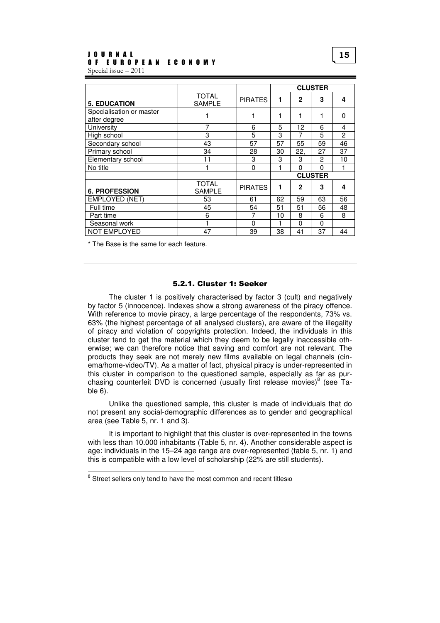|                                          |                               |                |    |              | <b>CLUSTER</b> |                |  |  |
|------------------------------------------|-------------------------------|----------------|----|--------------|----------------|----------------|--|--|
| <b>5. EDUCATION</b>                      | <b>TOTAL</b><br><b>SAMPLE</b> | <b>PIRATES</b> | 1  | $\mathbf{2}$ | 3              | 4              |  |  |
| Specialisation or master<br>after degree |                               | 1              |    | 1            | 1              | $\mathbf{0}$   |  |  |
| University                               | 7                             | 6              | 5  | 12           | 6              | 4              |  |  |
| High school                              | 3                             | 5              | 3  | 7            | 5              | $\mathfrak{p}$ |  |  |
| Secondary school                         | 43                            | 57             | 57 | 55           | 59             | 46             |  |  |
| Primary school                           | 34                            | 28             | 30 | 22,          | 27             | 37             |  |  |
| Elementary school                        | 11                            | 3              | 3  | 3            | $\mathfrak{p}$ | 10             |  |  |
| No title                                 |                               | $\mathbf{0}$   |    | 0            | $\Omega$       | 1              |  |  |
|                                          |                               |                |    |              | <b>CLUSTER</b> |                |  |  |
| <b>6. PROFESSION</b>                     | <b>TOTAL</b><br><b>SAMPLE</b> | <b>PIRATES</b> | 1  | $\mathbf{2}$ | 3              | 4              |  |  |
| <b>EMPLOYED (NET)</b>                    | 53                            | 61             | 62 | 59           | 63             | 56             |  |  |
| Full time                                | 45                            | 54             | 51 | 51           | 56             | 48             |  |  |
| Part time                                | 6                             | 7              | 10 | 8            | 6              | 8              |  |  |
| Seasonal work                            |                               | 0              | 1  | 0            | $\Omega$       |                |  |  |
| <b>NOT EMPLOYED</b>                      | 47                            | 39             | 38 | 41           | 37             | 44             |  |  |

\* The Base is the same for each feature.

 $\overline{a}$ 

#### 5.2.1. Cluster 1: Seeker

The cluster 1 is positively characterised by factor 3 (cult) and negatively by factor 5 (innocence). Indexes show a strong awareness of the piracy offence. With reference to movie piracy, a large percentage of the respondents, 73% vs. 63% (the highest percentage of all analysed clusters), are aware of the illegality of piracy and violation of copyrights protection. Indeed, the individuals in this cluster tend to get the material which they deem to be legally inaccessible otherwise; we can therefore notice that saving and comfort are not relevant. The products they seek are not merely new films available on legal channels (cinema/home-video/TV). As a matter of fact, physical piracy is under-represented in this cluster in comparison to the questioned sample, especially as far as purchasing counterfeit DVD is concerned (usually first release movies) $^8$  (see Table 6).

Unlike the questioned sample, this cluster is made of individuals that do not present any social-demographic differences as to gender and geographical area (see Table 5, nr. 1 and 3).

It is important to highlight that this cluster is over-represented in the towns with less than 10.000 inhabitants (Table 5, nr. 4). Another considerable aspect is age: individuals in the 15–24 age range are over-represented (table 5, nr. 1) and this is compatible with a low level of scholarship (22% are still students).

<sup>&</sup>lt;sup>8</sup> Street sellers only tend to have the most common and recent titlesю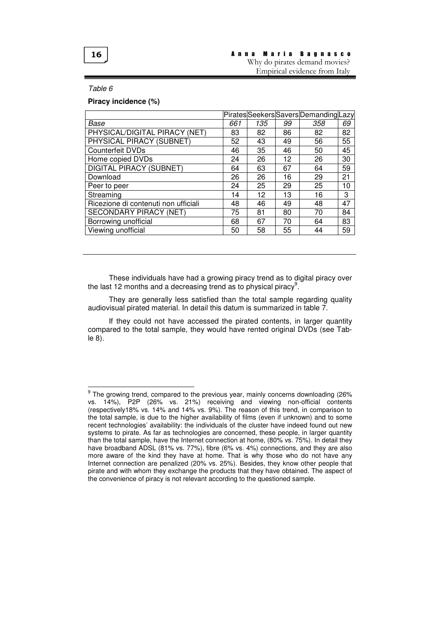

#### A n n a M a r i a B a g n a s c o Why do pirates demand movies?

Empirical evidence from Italy

#### Table 6

 $\overline{a}$ 

**Piracy incidence (%)** 

| 661 | 135 | 99 | 358 | 69                                    |
|-----|-----|----|-----|---------------------------------------|
| 83  | 82  | 86 | 82  | 82                                    |
| 52  | 43  | 49 | 56  | 55                                    |
| 46  | 35  | 46 | 50  | 45                                    |
| 24  | 26  | 12 | 26  | 30                                    |
| 64  | 63  | 67 | 64  | 59                                    |
| 26  | 26  | 16 | 29  | 21                                    |
| 24  | 25  | 29 | 25  | 10                                    |
| 14  | 12  | 13 | 16  | 3                                     |
| 48  | 46  | 49 | 48  | 47                                    |
| 75  | 81  | 80 | 70  | 84                                    |
| 68  | 67  | 70 | 64  | 83                                    |
| 50  | 58  | 55 | 44  | 59                                    |
|     |     |    |     | Pirates Seekers Savers Demanding Lazy |

These individuals have had a growing piracy trend as to digital piracy over the last 12 months and a decreasing trend as to physical piracy<sup>9</sup>.

They are generally less satisfied than the total sample regarding quality audiovisual pirated material. In detail this datum is summarized in table 7.

If they could not have accessed the pirated contents, in larger quantity compared to the total sample, they would have rented original DVDs (see Table 8).

 $^9$  The growing trend, compared to the previous year, mainly concerns downloading (26% vs. 14%), P2P (26% vs. 21%) receiving and viewing non-official contents (respectively18% vs. 14% and 14% vs. 9%). The reason of this trend, in comparison to the total sample, is due to the higher availability of films (even if unknown) and to some recent technologies' availability: the individuals of the cluster have indeed found out new systems to pirate. As far as technologies are concerned, these people, in larger quantity than the total sample, have the Internet connection at home, (80% vs. 75%). In detail they have broadband ADSL (81% vs. 77%), fibre (6% vs. 4%) connections, and they are also more aware of the kind they have at home. That is why those who do not have any Internet connection are penalized (20% vs. 25%). Besides, they know other people that pirate and with whom they exchange the products that they have obtained. The aspect of the convenience of piracy is not relevant according to the questioned sample.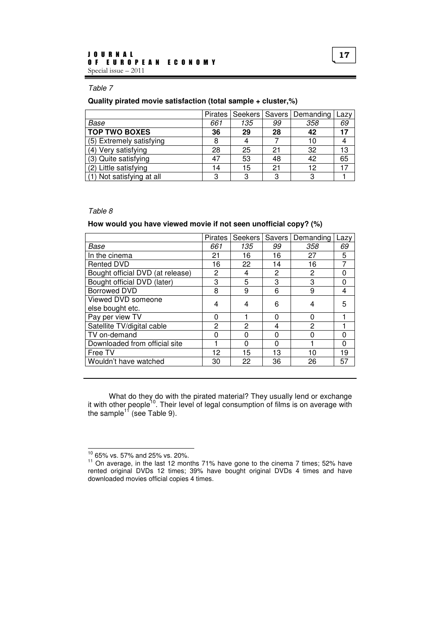#### Table 7

#### **Quality pirated movie satisfaction (total sample + cluster,%)**

|                           |     |     |    | Pirates   Seekers   Savers   Demanding | Lazy |
|---------------------------|-----|-----|----|----------------------------------------|------|
| Base                      | 661 | 135 | 99 | 358                                    | 69   |
| <b>TOP TWO BOXES</b>      | 36  | 29  | 28 | 42                                     | 17   |
| (5) Extremely satisfying  |     |     |    | 10                                     |      |
| (4) Very satisfying       | 28  | 25  | 21 | 32                                     | 13   |
| (3) Quite satisfying      | 47  | 53  | 48 | 42                                     | 65   |
| (2) Little satisfying     | 14  | 15  | 21 | 12                                     | 17   |
| (1) Not satisfying at all | 3   | 3   | ຊ  | 3                                      |      |

#### Table 8

#### **How would you have viewed movie if not seen unofficial copy? (%)**

|                                  | <b>Pirates</b> | Seekers  | Savers I | Demanding | Lazy |
|----------------------------------|----------------|----------|----------|-----------|------|
| Base                             | 661            | 135      | 99       | 358       | 69   |
| In the cinema                    | 21             | 16       | 16       | 27        | 5    |
| Rented DVD                       | 16             | 22       | 14       | 16        | 7    |
| Bought official DVD (at release) | 2              | 4        | 2        | 2         | 0    |
| Bought official DVD (later)      | 3              | 5        | 3        | 3         | 0    |
| <b>Borrowed DVD</b>              | 8              | 9        | 6        | 9         | 4    |
| Viewed DVD someone               | 4              | 4        | 6        | 4         | 5    |
| else bought etc.                 |                |          |          |           |      |
| Pay per view TV                  | 0              |          | ∩        | 0         |      |
| Satellite TV/digital cable       | 2              | 2        | 4        | 2         |      |
| TV on-demand                     | ∩              | 0        | ∩        | 0         | 0    |
| Downloaded from official site    |                | $\Omega$ | 0        |           | 0    |
| Free TV                          | 12             | 15       | 13       | 10        | 19   |
| Wouldn't have watched            | 30             | 22       | 36       | 26        | 57   |

What do they do with the pirated material? They usually lend or exchange it with other people<sup>10</sup>. Their level of legal consumption of films is on average with the sample $^{11}$  (see Table 9).

 $10$  65% vs. 57% and 25% vs. 20%.

<sup>&</sup>lt;sup>11</sup> On average, in the last 12 months 71% have gone to the cinema 7 times; 52% have rented original DVDs 12 times; 39% have bought original DVDs 4 times and have downloaded movies official copies 4 times.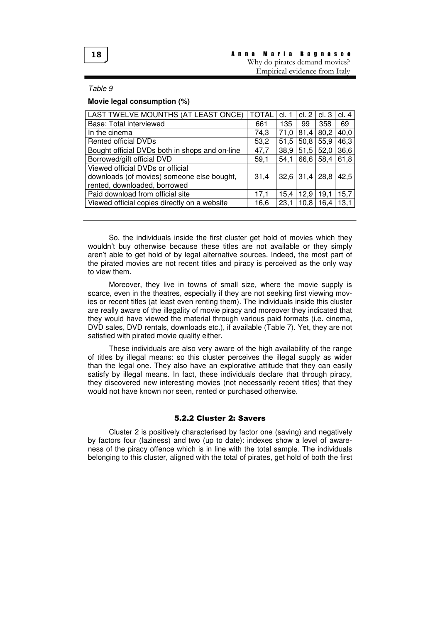#### Table 9

#### **Movie legal consumption (%)**

| LAST TWELVE MOUNTHS (AT LEAST ONCE)            | <b>TOTAL</b> | cl. 1 | cl. 2 | cl.3 | cl. 4 |
|------------------------------------------------|--------------|-------|-------|------|-------|
| Base: Total interviewed                        | 661          | 135   | 99    | 358  | 69    |
| In the cinema                                  | 74,3         | 71,0  | 81,4  | 80,2 | 40,0  |
| <b>Rented official DVDs</b>                    | 53,2         | 51,5  | 50,8  | 55,9 | 46,3  |
| Bought official DVDs both in shops and on-line | 47,7         | 38,9  | 51,5  | 52,0 | 36,6  |
| Borrowed/gift official DVD                     | 59,1         | 54,1  | 66,6  | 58,4 | 61,8  |
| Viewed official DVDs or official               |              |       |       |      |       |
| downloads (of movies) someone else bought,     | 31,4         | 32,6  | 31,4  | 28,8 | 42,5  |
| rented, downloaded, borrowed                   |              |       |       |      |       |
| Paid download from official site               | 17,1         | 15,4  | 12,9  | 19,1 | 15,7  |
| Viewed official copies directly on a website   | 16,6         | 23,1  | 10,8  | 16,4 | 13,1  |
|                                                |              |       |       |      |       |

So, the individuals inside the first cluster get hold of movies which they wouldn't buy otherwise because these titles are not available or they simply aren't able to get hold of by legal alternative sources. Indeed, the most part of the pirated movies are not recent titles and piracy is perceived as the only way to view them.

Moreover, they live in towns of small size, where the movie supply is scarce, even in the theatres, especially if they are not seeking first viewing movies or recent titles (at least even renting them). The individuals inside this cluster are really aware of the illegality of movie piracy and moreover they indicated that they would have viewed the material through various paid formats (i.e. cinema, DVD sales, DVD rentals, downloads etc.), if available (Table 7). Yet, they are not satisfied with pirated movie quality either.

These individuals are also very aware of the high availability of the range of titles by illegal means: so this cluster perceives the illegal supply as wider than the legal one. They also have an explorative attitude that they can easily satisfy by illegal means. In fact, these individuals declare that through piracy, they discovered new interesting movies (not necessarily recent titles) that they would not have known nor seen, rented or purchased otherwise.

## 5.2.2 Cluster 2: Savers

Cluster 2 is positively characterised by factor one (saving) and negatively by factors four (laziness) and two (up to date): indexes show a level of awareness of the piracy offence which is in line with the total sample. The individuals belonging to this cluster, aligned with the total of pirates, get hold of both the first

## 18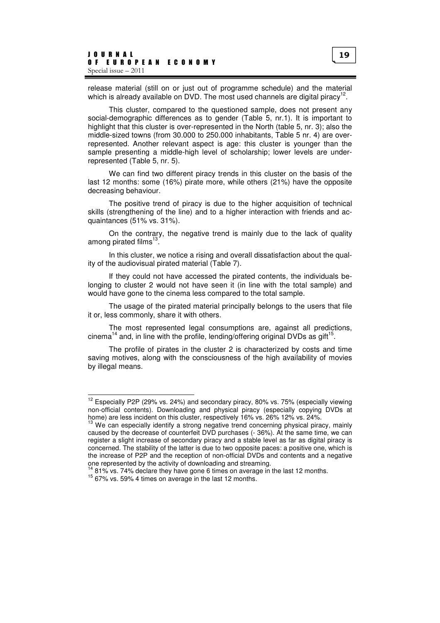release material (still on or just out of programme schedule) and the material which is already available on DVD. The most used channels are digital piracy<sup>12</sup>.

This cluster, compared to the questioned sample, does not present any social-demographic differences as to gender (Table 5, nr.1). It is important to highlight that this cluster is over-represented in the North (table 5, nr. 3); also the middle-sized towns (from 30.000 to 250.000 inhabitants, Table 5 nr. 4) are overrepresented. Another relevant aspect is age: this cluster is younger than the sample presenting a middle-high level of scholarship; lower levels are underrepresented (Table 5, nr. 5).

We can find two different piracy trends in this cluster on the basis of the last 12 months: some (16%) pirate more, while others (21%) have the opposite decreasing behaviour.

The positive trend of piracy is due to the higher acquisition of technical skills (strengthening of the line) and to a higher interaction with friends and acquaintances (51% vs. 31%).

On the contrary, the negative trend is mainly due to the lack of quality among pirated films<sup>13</sup> .

In this cluster, we notice a rising and overall dissatisfaction about the quality of the audiovisual pirated material (Table 7).

If they could not have accessed the pirated contents, the individuals belonging to cluster 2 would not have seen it (in line with the total sample) and would have gone to the cinema less compared to the total sample.

The usage of the pirated material principally belongs to the users that file it or, less commonly, share it with others.

The most represented legal consumptions are, against all predictions, cinema<sup>14</sup> and, in line with the profile, lending/offering original DVDs as gift<sup>15</sup>.

The profile of pirates in the cluster 2 is characterized by costs and time saving motives, along with the consciousness of the high availability of movies by illegal means.

 $12$  Especially P2P (29% vs. 24%) and secondary piracy, 80% vs. 75% (especially viewing non-official contents). Downloading and physical piracy (especially copying DVDs at home) are less incident on this cluster, respectively 16% vs. 26% 12% vs. 24%.

We can especially identify a strong negative trend concerning physical piracy, mainly caused by the decrease of counterfeit DVD purchases (- 36%). At the same time, we can register a slight increase of secondary piracy and a stable level as far as digital piracy is concerned. The stability of the latter is due to two opposite paces: a positive one, which is the increase of P2P and the reception of non-official DVDs and contents and a negative one represented by the activity of downloading and streaming.

 $<sup>4</sup>$  81% vs. 74% declare they have gone 6 times on average in the last 12 months.</sup>

<sup>15</sup> 67% vs. 59% 4 times on average in the last 12 months.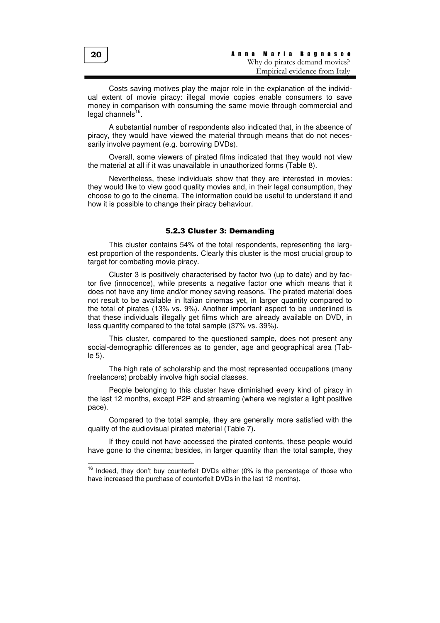Costs saving motives play the major role in the explanation of the individual extent of movie piracy: illegal movie copies enable consumers to save money in comparison with consuming the same movie through commercial and legal channels<sup>16</sup>.

A substantial number of respondents also indicated that, in the absence of piracy, they would have viewed the material through means that do not necessarily involve payment (e.g. borrowing DVDs).

Overall, some viewers of pirated films indicated that they would not view the material at all if it was unavailable in unauthorized forms (Table 8).

Nevertheless, these individuals show that they are interested in movies: they would like to view good quality movies and, in their legal consumption, they choose to go to the cinema. The information could be useful to understand if and how it is possible to change their piracy behaviour.

# 5.2.3 Cluster 3: Demanding

This cluster contains 54% of the total respondents, representing the largest proportion of the respondents. Clearly this cluster is the most crucial group to target for combating movie piracy.

Cluster 3 is positively characterised by factor two (up to date) and by factor five (innocence), while presents a negative factor one which means that it does not have any time and/or money saving reasons. The pirated material does not result to be available in Italian cinemas yet, in larger quantity compared to the total of pirates (13% vs. 9%). Another important aspect to be underlined is that these individuals illegally get films which are already available on DVD, in less quantity compared to the total sample (37% vs. 39%).

This cluster, compared to the questioned sample, does not present any social-demographic differences as to gender, age and geographical area (Table 5).

The high rate of scholarship and the most represented occupations (many freelancers) probably involve high social classes.

People belonging to this cluster have diminished every kind of piracy in the last 12 months, except P2P and streaming (where we register a light positive pace).

Compared to the total sample, they are generally more satisfied with the quality of the audiovisual pirated material (Table 7)**.** 

If they could not have accessed the pirated contents, these people would have gone to the cinema; besides, in larger quantity than the total sample, they

20

 $16$  Indeed, they don't buy counterfeit DVDs either (0% is the percentage of those who have increased the purchase of counterfeit DVDs in the last 12 months).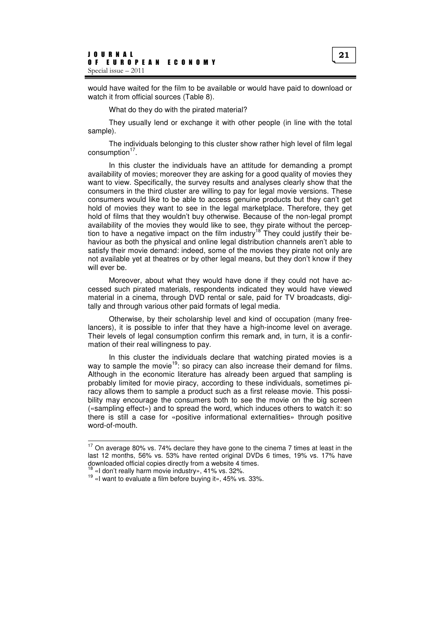would have waited for the film to be available or would have paid to download or watch it from official sources (Table 8).

What do they do with the pirated material?

They usually lend or exchange it with other people (in line with the total sample).

The individuals belonging to this cluster show rather high level of film legal consumption<sup>17</sup>.

In this cluster the individuals have an attitude for demanding a prompt availability of movies; moreover they are asking for a good quality of movies they want to view. Specifically, the survey results and analyses clearly show that the consumers in the third cluster are willing to pay for legal movie versions. These consumers would like to be able to access genuine products but they can't get hold of movies they want to see in the legal marketplace. Therefore, they get hold of films that they wouldn't buy otherwise. Because of the non-legal prompt availability of the movies they would like to see, they pirate without the perception to have a negative impact on the film industry<sup>18</sup> They could justify their behaviour as both the physical and online legal distribution channels aren't able to satisfy their movie demand: indeed, some of the movies they pirate not only are not available yet at theatres or by other legal means, but they don't know if they will ever be.

Moreover, about what they would have done if they could not have accessed such pirated materials, respondents indicated they would have viewed material in a cinema, through DVD rental or sale, paid for TV broadcasts, digitally and through various other paid formats of legal media.

Otherwise, by their scholarship level and kind of occupation (many freelancers), it is possible to infer that they have a high-income level on average. Their levels of legal consumption confirm this remark and, in turn, it is a confirmation of their real willingness to pay.

In this cluster the individuals declare that watching pirated movies is a way to sample the movie<sup>19</sup>: so piracy can also increase their demand for films. Although in the economic literature has already been argued that sampling is probably limited for movie piracy, according to these individuals, sometimes piracy allows them to sample a product such as a first release movie. This possibility may encourage the consumers both to see the movie on the big screen («sampling effect») and to spread the word, which induces others to watch it: so there is still a case for «positive informational externalities» through positive word-of-mouth.

 $17$  On average 80% vs. 74% declare they have gone to the cinema 7 times at least in the last 12 months, 56% vs. 53% have rented original DVDs 6 times, 19% vs. 17% have downloaded official copies directly from a website 4 times.

<sup>&</sup>lt;sup>18</sup> «I don't really harm movie industry», 41% vs. 32%.

<sup>&</sup>lt;sup>19</sup> «I want to evaluate a film before buying it», 45% vs. 33%.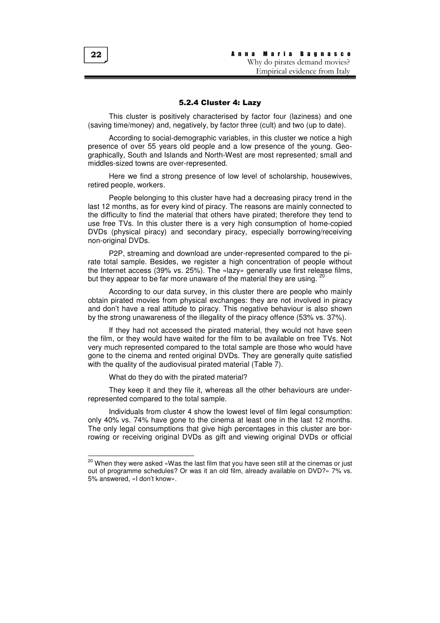## 5.2.4 Cluster 4: Lazy

This cluster is positively characterised by factor four (laziness) and one (saving time/money) and, negatively, by factor three (cult) and two (up to date).

According to social-demographic variables, in this cluster we notice a high presence of over 55 years old people and a low presence of the young. Geographically, South and Islands and North-West are most represented; small and middles-sized towns are over-represented.

Here we find a strong presence of low level of scholarship, housewives, retired people, workers.

People belonging to this cluster have had a decreasing piracy trend in the last 12 months, as for every kind of piracy. The reasons are mainly connected to the difficulty to find the material that others have pirated; therefore they tend to use free TVs. In this cluster there is a very high consumption of home-copied DVDs (physical piracy) and secondary piracy, especially borrowing/receiving non-original DVDs.

P2P, streaming and download are under-represented compared to the pirate total sample. Besides, we register a high concentration of people without the Internet access (39% vs. 25%). The «lazy» generally use first release films, but they appear to be far more unaware of the material they are using. <sup>20</sup>

According to our data survey, in this cluster there are people who mainly obtain pirated movies from physical exchanges: they are not involved in piracy and don't have a real attitude to piracy. This negative behaviour is also shown by the strong unawareness of the illegality of the piracy offence (53% vs. 37%).

If they had not accessed the pirated material, they would not have seen the film, or they would have waited for the film to be available on free TVs. Not very much represented compared to the total sample are those who would have gone to the cinema and rented original DVDs. They are generally quite satisfied with the quality of the audiovisual pirated material (Table 7).

What do they do with the pirated material?

They keep it and they file it, whereas all the other behaviours are underrepresented compared to the total sample.

Individuals from cluster 4 show the lowest level of film legal consumption: only 40% vs. 74% have gone to the cinema at least one in the last 12 months. The only legal consumptions that give high percentages in this cluster are borrowing or receiving original DVDs as gift and viewing original DVDs or official

<sup>&</sup>lt;sup>20</sup> When they were asked «Was the last film that you have seen still at the cinemas or just out of programme schedules? Or was it an old film, already available on DVD?» 7% vs. 5% answered, «I don't know».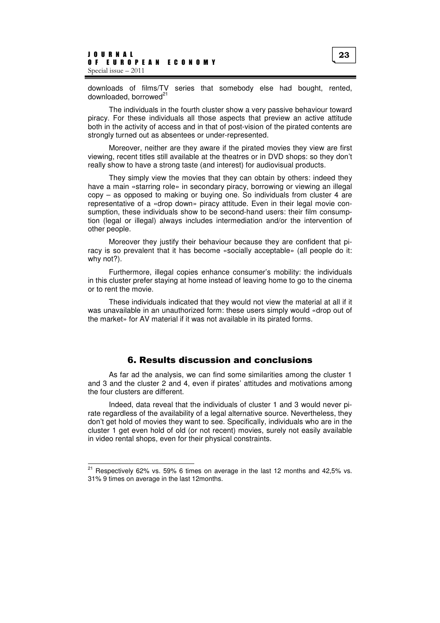downloads of films/TV series that somebody else had bought, rented, downloaded, borrowed<sup>21</sup>

The individuals in the fourth cluster show a very passive behaviour toward piracy. For these individuals all those aspects that preview an active attitude both in the activity of access and in that of post-vision of the pirated contents are strongly turned out as absentees or under-represented.

Moreover, neither are they aware if the pirated movies they view are first viewing, recent titles still available at the theatres or in DVD shops: so they don't really show to have a strong taste (and interest) for audiovisual products.

They simply view the movies that they can obtain by others: indeed they have a main «starring role» in secondary piracy, borrowing or viewing an illegal copy – as opposed to making or buying one. So individuals from cluster 4 are representative of a «drop down» piracy attitude. Even in their legal movie consumption, these individuals show to be second-hand users: their film consumption (legal or illegal) always includes intermediation and/or the intervention of other people.

Moreover they justify their behaviour because they are confident that piracy is so prevalent that it has become «socially acceptable» (all people do it: why not?).

Furthermore, illegal copies enhance consumer's mobility: the individuals in this cluster prefer staying at home instead of leaving home to go to the cinema or to rent the movie.

These individuals indicated that they would not view the material at all if it was unavailable in an unauthorized form: these users simply would «drop out of the market» for AV material if it was not available in its pirated forms.

# 6. Results discussion and conclusions

As far ad the analysis, we can find some similarities among the cluster 1 and 3 and the cluster 2 and 4, even if pirates' attitudes and motivations among the four clusters are different.

Indeed, data reveal that the individuals of cluster 1 and 3 would never pirate regardless of the availability of a legal alternative source. Nevertheless, they don't get hold of movies they want to see. Specifically, individuals who are in the cluster 1 get even hold of old (or not recent) movies, surely not easily available in video rental shops, even for their physical constraints.

 $21$  Respectively 62% vs. 59% 6 times on average in the last 12 months and 42,5% vs. 31% 9 times on average in the last 12months.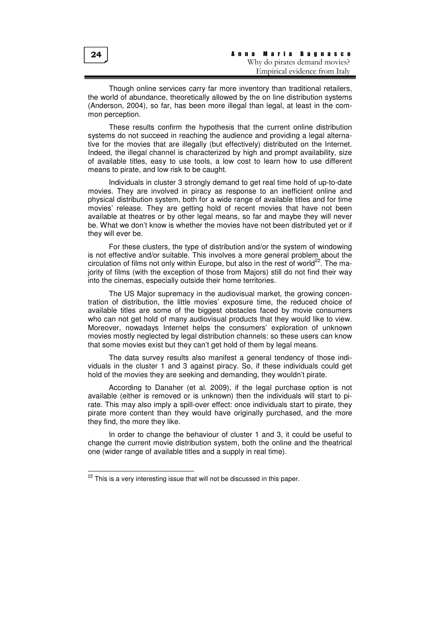Though online services carry far more inventory than traditional retailers, the world of abundance, theoretically allowed by the on line distribution systems (Anderson, 2004), so far, has been more illegal than legal, at least in the common perception.

These results confirm the hypothesis that the current online distribution systems do not succeed in reaching the audience and providing a legal alternative for the movies that are illegally (but effectively) distributed on the Internet. Indeed, the illegal channel is characterized by high and prompt availability, size of available titles, easy to use tools, a low cost to learn how to use different means to pirate, and low risk to be caught.

Individuals in cluster 3 strongly demand to get real time hold of up-to-date movies. They are involved in piracy as response to an inefficient online and physical distribution system, both for a wide range of available titles and for time movies' release. They are getting hold of recent movies that have not been available at theatres or by other legal means, so far and maybe they will never be. What we don't know is whether the movies have not been distributed yet or if they will ever be.

For these clusters, the type of distribution and/or the system of windowing is not effective and/or suitable. This involves a more general problem about the circulation of films not only within Europe, but also in the rest of world<sup>22</sup>. The majority of films (with the exception of those from Majors) still do not find their way into the cinemas, especially outside their home territories.

The US Major supremacy in the audiovisual market, the growing concentration of distribution, the little movies' exposure time, the reduced choice of available titles are some of the biggest obstacles faced by movie consumers who can not get hold of many audiovisual products that they would like to view. Moreover, nowadays Internet helps the consumers' exploration of unknown movies mostly neglected by legal distribution channels: so these users can know that some movies exist but they can't get hold of them by legal means.

The data survey results also manifest a general tendency of those individuals in the cluster 1 and 3 against piracy. So, if these individuals could get hold of the movies they are seeking and demanding, they wouldn't pirate.

According to Danaher (et al. 2009), if the legal purchase option is not available (either is removed or is unknown) then the individuals will start to pirate. This may also imply a spill-over effect: once individuals start to pirate, they pirate more content than they would have originally purchased, and the more they find, the more they like.

In order to change the behaviour of cluster 1 and 3, it could be useful to change the current movie distribution system, both the online and the theatrical one (wider range of available titles and a supply in real time).

24

 $22$  This is a very interesting issue that will not be discussed in this paper.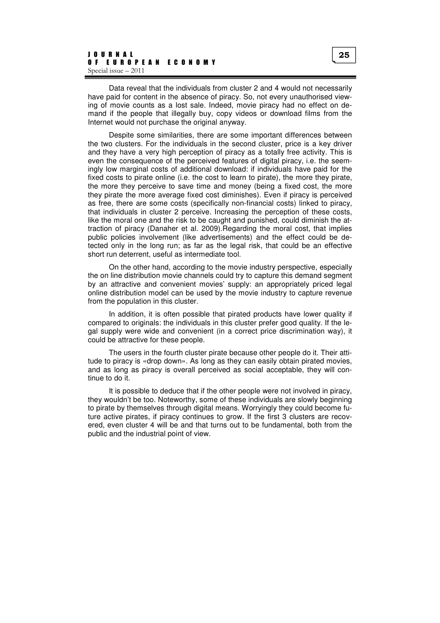Data reveal that the individuals from cluster 2 and 4 would not necessarily have paid for content in the absence of piracy. So, not every unauthorised viewing of movie counts as a lost sale. Indeed, movie piracy had no effect on demand if the people that illegally buy, copy videos or download films from the Internet would not purchase the original anyway.

Despite some similarities, there are some important differences between the two clusters. For the individuals in the second cluster, price is a key driver and they have a very high perception of piracy as a totally free activity. This is even the consequence of the perceived features of digital piracy, i.e. the seemingly low marginal costs of additional download: if individuals have paid for the fixed costs to pirate online (i.e. the cost to learn to pirate), the more they pirate, the more they perceive to save time and money (being a fixed cost, the more they pirate the more average fixed cost diminishes). Even if piracy is perceived as free, there are some costs (specifically non-financial costs) linked to piracy, that individuals in cluster 2 perceive. Increasing the perception of these costs, like the moral one and the risk to be caught and punished, could diminish the attraction of piracy (Danaher et al. 2009).Regarding the moral cost, that implies public policies involvement (like advertisements) and the effect could be detected only in the long run; as far as the legal risk, that could be an effective short run deterrent, useful as intermediate tool.

On the other hand, according to the movie industry perspective, especially the on line distribution movie channels could try to capture this demand segment by an attractive and convenient movies' supply: an appropriately priced legal online distribution model can be used by the movie industry to capture revenue from the population in this cluster.

In addition, it is often possible that pirated products have lower quality if compared to originals: the individuals in this cluster prefer good quality. If the legal supply were wide and convenient (in a correct price discrimination way), it could be attractive for these people.

The users in the fourth cluster pirate because other people do it. Their attitude to piracy is «drop down». As long as they can easily obtain pirated movies, and as long as piracy is overall perceived as social acceptable, they will continue to do it.

It is possible to deduce that if the other people were not involved in piracy, they wouldn't be too. Noteworthy, some of these individuals are slowly beginning to pirate by themselves through digital means. Worryingly they could become future active pirates, if piracy continues to grow. If the first 3 clusters are recovered, even cluster 4 will be and that turns out to be fundamental, both from the public and the industrial point of view.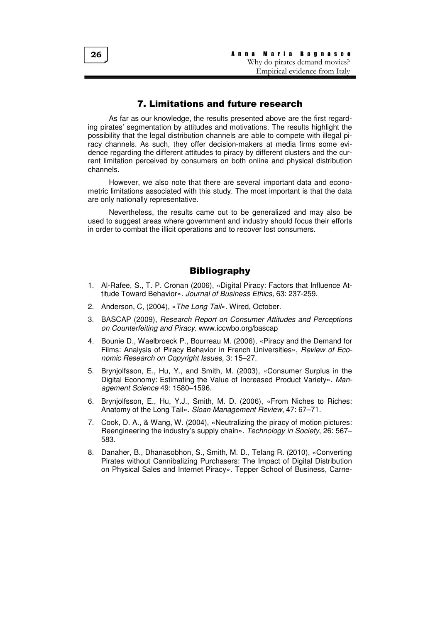# 7. Limitations and future research

As far as our knowledge, the results presented above are the first regarding pirates' segmentation by attitudes and motivations. The results highlight the possibility that the legal distribution channels are able to compete with illegal piracy channels. As such, they offer decision-makers at media firms some evidence regarding the different attitudes to piracy by different clusters and the current limitation perceived by consumers on both online and physical distribution channels.

However, we also note that there are several important data and econometric limitations associated with this study. The most important is that the data are only nationally representative.

Nevertheless, the results came out to be generalized and may also be used to suggest areas where government and industry should focus their efforts in order to combat the illicit operations and to recover lost consumers.

# **Bibliography**

- 1. Al-Rafee, S., T. P. Cronan (2006), «Digital Piracy: Factors that Influence Attitude Toward Behavior». Journal of Business Ethics, 63: 237-259.
- 2. Anderson, C. (2004), «The Long Tail», Wired, October.
- 3. BASCAP (2009), Research Report on Consumer Attitudes and Perceptions on Counterfeiting and Piracy. www.iccwbo.org/bascap
- 4. Bounie D., Waelbroeck P., Bourreau M. (2006), «Piracy and the Demand for Films: Analysis of Piracy Behavior in French Universities», Review of Economic Research on Copyright Issues, 3: 15–27.
- 5. Brynjolfsson, E., Hu, Y., and Smith, M. (2003), «Consumer Surplus in the Digital Economy: Estimating the Value of Increased Product Variety». Management Science 49: 1580–1596.
- 6. Brynjolfsson, E., Hu, Y.J., Smith, M. D. (2006), «From Niches to Riches: Anatomy of the Long Tail». Sloan Management Review, 47: 67–71.
- 7. Cook, D. A., & Wang, W. (2004), «Neutralizing the piracy of motion pictures: Reengineering the industry's supply chain». Technology in Society, 26: 567– 583.
- 8. Danaher, B., Dhanasobhon, S., Smith, M. D., Telang R. (2010), «Converting Pirates without Cannibalizing Purchasers: The Impact of Digital Distribution on Physical Sales and Internet Piracy». Tepper School of Business, Carne-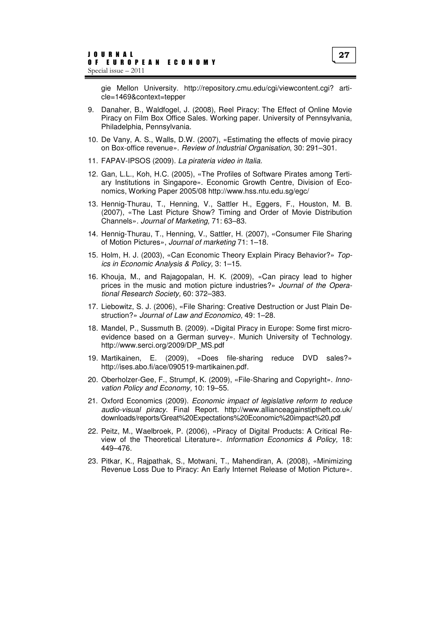gie Mellon University. http://repository.cmu.edu/cgi/viewcontent.cgi? article=1469&context=tepper

- 9. Danaher, B., Waldfogel, J. (2008), Reel Piracy: The Effect of Online Movie Piracy on Film Box Office Sales. Working paper. University of Pennsylvania, Philadelphia, Pennsylvania.
- 10. De Vany, A. S., Walls, D.W. (2007), «Estimating the effects of movie piracy on Box-office revenue». Review of Industrial Organisation, 30: 291–301.
- 11. FAPAV-IPSOS (2009). La pirateria video in Italia.
- 12. Gan, L.L., Koh, H.C. (2005), «The Profiles of Software Pirates among Tertiary Institutions in Singapore». Economic Growth Centre, Division of Economics, Working Paper 2005/08 http://www.hss.ntu.edu.sg/egc/
- 13. Hennig-Thurau, T., Henning, V., Sattler H., Eggers, F., Houston, M. B. (2007), «The Last Picture Show? Timing and Order of Movie Distribution Channels». Journal of Marketing, 71: 63–83.
- 14. Hennig-Thurau, T., Henning, V., Sattler, H. (2007), «Consumer File Sharing of Motion Pictures», Journal of marketing 71: 1–18.
- 15. Holm, H. J. (2003), «Can Economic Theory Explain Piracy Behavior?» Topics in Economic Analysis & Policy, 3: 1–15.
- 16. Khouja, M., and Rajagopalan, H. K. (2009), «Can piracy lead to higher prices in the music and motion picture industries?» Journal of the Operational Research Society, 60: 372–383.
- 17. Liebowitz, S. J. (2006), «File Sharing: Creative Destruction or Just Plain Destruction?» Journal of Law and Economico, 49: 1–28.
- 18. Mandel, P., Sussmuth B. (2009). «Digital Piracy in Europe: Some first microevidence based on a German survey». Munich University of Technology. http://www.serci.org/2009/DP\_MS.pdf
- 19. Martikainen, E. (2009), «Does file-sharing reduce DVD sales?» http://ises.abo.fi/ace/090519-martikainen.pdf.
- 20. Oberholzer-Gee, F., Strumpf, K. (2009), «File-Sharing and Copyright». Innovation Policy and Economy, 10: 19–55.
- 21. Oxford Economics (2009). Economic impact of legislative reform to reduce audio-visual piracy. Final Report. http://www.allianceagainstiptheft.co.uk/ downloads/reports/Great%20Expectations%20Economic%20impact%20.pdf
- 22. Peitz, M., Waelbroek, P. (2006), «Piracy of Digital Products: A Critical Review of the Theoretical Literature». Information Economics & Policy, 18: 449–476.
- 23. Pitkar, K., Rajpathak, S., Motwani, T., Mahendiran, A. (2008), «Minimizing Revenue Loss Due to Piracy: An Early Internet Release of Motion Picture».